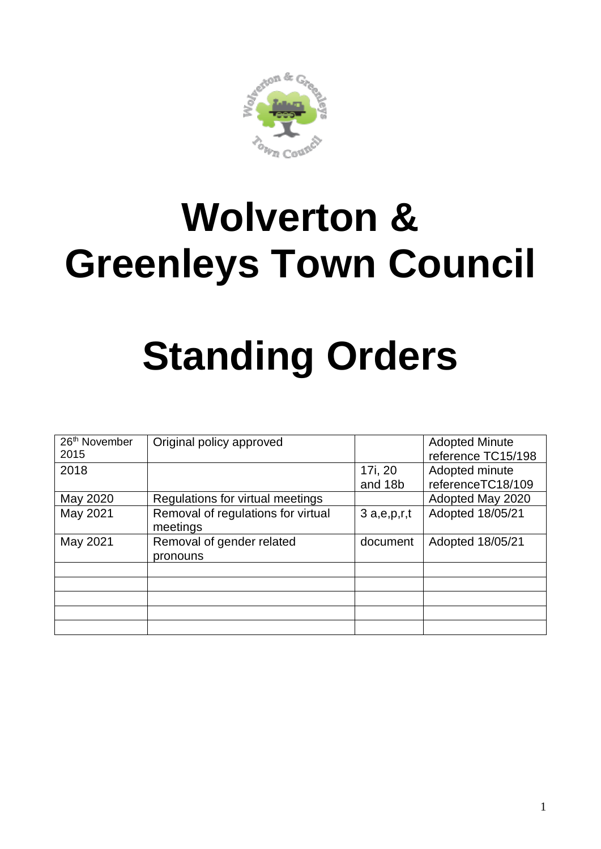

## **Wolverton & Greenleys Town Council**

# **Standing Orders**

| 26 <sup>th</sup> November<br>2015 | Original policy approved                       |            | <b>Adopted Minute</b><br>reference TC15/198 |
|-----------------------------------|------------------------------------------------|------------|---------------------------------------------|
| 2018                              |                                                | 17i, 20    | Adopted minute                              |
|                                   |                                                | and 18b    | referenceTC18/109                           |
| May 2020                          | Regulations for virtual meetings               |            | Adopted May 2020                            |
| May 2021                          | Removal of regulations for virtual<br>meetings | 3a,e,p,r,t | Adopted 18/05/21                            |
| May 2021                          | Removal of gender related<br>pronouns          | document   | Adopted 18/05/21                            |
|                                   |                                                |            |                                             |
|                                   |                                                |            |                                             |
|                                   |                                                |            |                                             |
|                                   |                                                |            |                                             |
|                                   |                                                |            |                                             |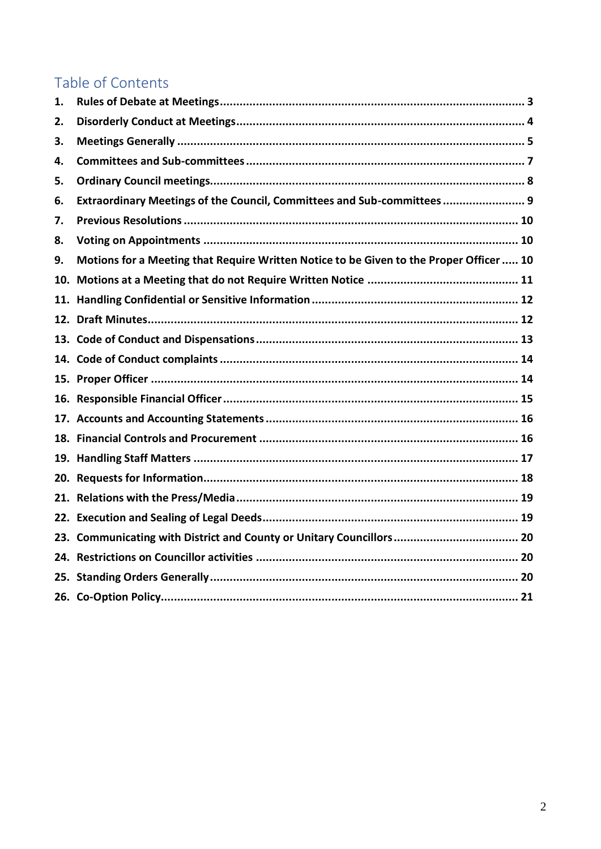#### Table of Contents

| 1.  |                                                                                         |
|-----|-----------------------------------------------------------------------------------------|
| 2.  |                                                                                         |
| 3.  |                                                                                         |
| 4.  |                                                                                         |
| 5.  |                                                                                         |
| 6.  | Extraordinary Meetings of the Council, Committees and Sub-committees 9                  |
| 7.  |                                                                                         |
| 8.  |                                                                                         |
| 9.  | Motions for a Meeting that Require Written Notice to be Given to the Proper Officer  10 |
| 10. |                                                                                         |
|     |                                                                                         |
|     |                                                                                         |
|     |                                                                                         |
|     |                                                                                         |
|     |                                                                                         |
|     |                                                                                         |
|     |                                                                                         |
|     |                                                                                         |
|     |                                                                                         |
|     |                                                                                         |
|     |                                                                                         |
|     |                                                                                         |
|     |                                                                                         |
|     |                                                                                         |
|     |                                                                                         |
|     |                                                                                         |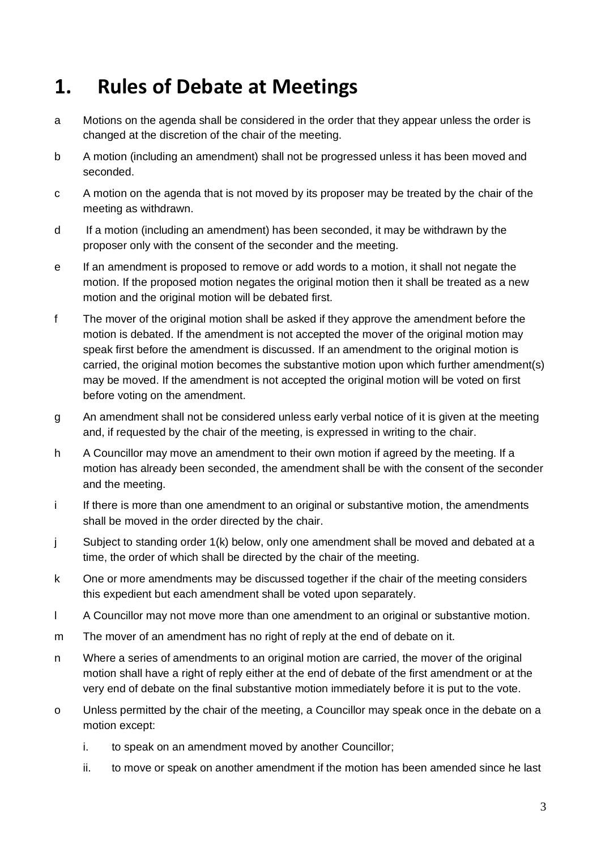#### <span id="page-2-0"></span>**1. Rules of Debate at Meetings**

- a Motions on the agenda shall be considered in the order that they appear unless the order is changed at the discretion of the chair of the meeting.
- b A motion (including an amendment) shall not be progressed unless it has been moved and seconded.
- c A motion on the agenda that is not moved by its proposer may be treated by the chair of the meeting as withdrawn.
- d If a motion (including an amendment) has been seconded, it may be withdrawn by the proposer only with the consent of the seconder and the meeting.
- e If an amendment is proposed to remove or add words to a motion, it shall not negate the motion. If the proposed motion negates the original motion then it shall be treated as a new motion and the original motion will be debated first.
- f The mover of the original motion shall be asked if they approve the amendment before the motion is debated. If the amendment is not accepted the mover of the original motion may speak first before the amendment is discussed. If an amendment to the original motion is carried, the original motion becomes the substantive motion upon which further amendment(s) may be moved. If the amendment is not accepted the original motion will be voted on first before voting on the amendment.
- g An amendment shall not be considered unless early verbal notice of it is given at the meeting and, if requested by the chair of the meeting, is expressed in writing to the chair.
- h A Councillor may move an amendment to their own motion if agreed by the meeting. If a motion has already been seconded, the amendment shall be with the consent of the seconder and the meeting.
- i If there is more than one amendment to an original or substantive motion, the amendments shall be moved in the order directed by the chair.
- j Subject to standing order 1(k) below, only one amendment shall be moved and debated at a time, the order of which shall be directed by the chair of the meeting.
- k One or more amendments may be discussed together if the chair of the meeting considers this expedient but each amendment shall be voted upon separately.
- l A Councillor may not move more than one amendment to an original or substantive motion.
- m The mover of an amendment has no right of reply at the end of debate on it.
- n Where a series of amendments to an original motion are carried, the mover of the original motion shall have a right of reply either at the end of debate of the first amendment or at the very end of debate on the final substantive motion immediately before it is put to the vote.
- o Unless permitted by the chair of the meeting, a Councillor may speak once in the debate on a motion except:
	- i. to speak on an amendment moved by another Councillor;
	- ii. to move or speak on another amendment if the motion has been amended since he last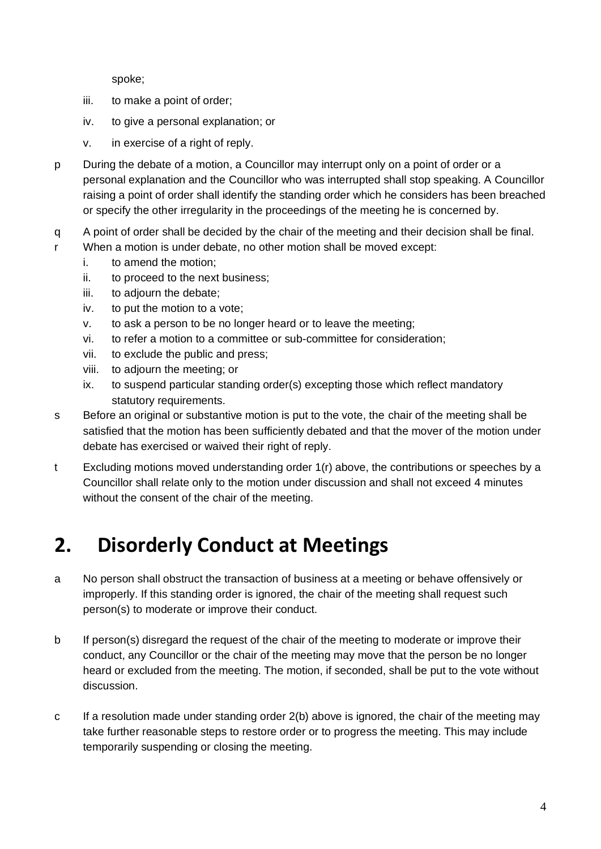spoke;

- iii. to make a point of order;
- iv. to give a personal explanation; or
- v. in exercise of a right of reply.
- p During the debate of a motion, a Councillor may interrupt only on a point of order or a personal explanation and the Councillor who was interrupted shall stop speaking. A Councillor raising a point of order shall identify the standing order which he considers has been breached or specify the other irregularity in the proceedings of the meeting he is concerned by.
- q A point of order shall be decided by the chair of the meeting and their decision shall be final.
- r When a motion is under debate, no other motion shall be moved except:
	- i. to amend the motion;
	- ii. to proceed to the next business;
	- iii. to adjourn the debate;
	- iv. to put the motion to a vote;
	- v. to ask a person to be no longer heard or to leave the meeting;
	- vi. to refer a motion to a committee or sub-committee for consideration;
	- vii. to exclude the public and press;
	- viii. to adjourn the meeting; or
	- ix. to suspend particular standing order(s) excepting those which reflect mandatory statutory requirements.
- s Before an original or substantive motion is put to the vote, the chair of the meeting shall be satisfied that the motion has been sufficiently debated and that the mover of the motion under debate has exercised or waived their right of reply.
- t Excluding motions moved understanding order 1(r) above, the contributions or speeches by a Councillor shall relate only to the motion under discussion and shall not exceed 4 minutes without the consent of the chair of the meeting.

## <span id="page-3-0"></span>**2. Disorderly Conduct at Meetings**

- a No person shall obstruct the transaction of business at a meeting or behave offensively or improperly. If this standing order is ignored, the chair of the meeting shall request such person(s) to moderate or improve their conduct.
- b If person(s) disregard the request of the chair of the meeting to moderate or improve their conduct, any Councillor or the chair of the meeting may move that the person be no longer heard or excluded from the meeting. The motion, if seconded, shall be put to the vote without discussion.
- c If a resolution made under standing order 2(b) above is ignored, the chair of the meeting may take further reasonable steps to restore order or to progress the meeting. This may include temporarily suspending or closing the meeting.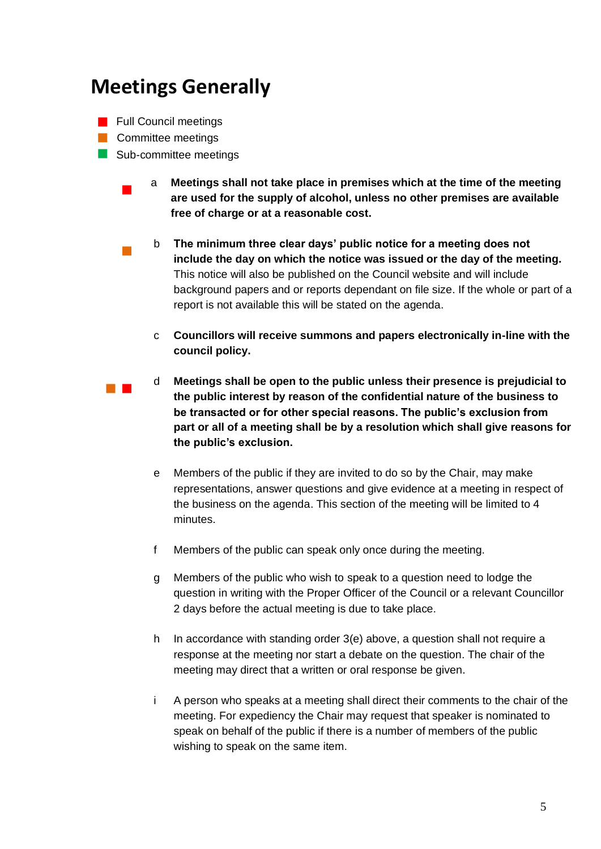#### <span id="page-4-0"></span>**Meetings Generally**

- **Full Council meetings**
- **Committee meetings**

 $\blacksquare$ 

- Sub-committee meetings
	- a **Meetings shall not take place in premises which at the time of the meeting are used for the supply of alcohol, unless no other premises are available free of charge or at a reasonable cost.**
	- $\mathcal{L}_{\mathcal{A}}$ b **The minimum three clear days' public notice for a meeting does not include the day on which the notice was issued or the day of the meeting.** This notice will also be published on the Council website and will include background papers and or reports dependant on file size. If the whole or part of a report is not available this will be stated on the agenda.
		- c **Councillors will receive summons and papers electronically in-line with the council policy.**
- $\mathbb{R}^n$  . d **Meetings shall be open to the public unless their presence is prejudicial to the public interest by reason of the confidential nature of the business to be transacted or for other special reasons. The public's exclusion from part or all of a meeting shall be by a resolution which shall give reasons for the public's exclusion.**
	- e Members of the public if they are invited to do so by the Chair, may make representations, answer questions and give evidence at a meeting in respect of the business on the agenda. This section of the meeting will be limited to 4 minutes.
	- f Members of the public can speak only once during the meeting.
	- g Members of the public who wish to speak to a question need to lodge the question in writing with the Proper Officer of the Council or a relevant Councillor 2 days before the actual meeting is due to take place.
	- h In accordance with standing order 3(e) above, a question shall not require a response at the meeting nor start a debate on the question. The chair of the meeting may direct that a written or oral response be given.
	- i A person who speaks at a meeting shall direct their comments to the chair of the meeting. For expediency the Chair may request that speaker is nominated to speak on behalf of the public if there is a number of members of the public wishing to speak on the same item.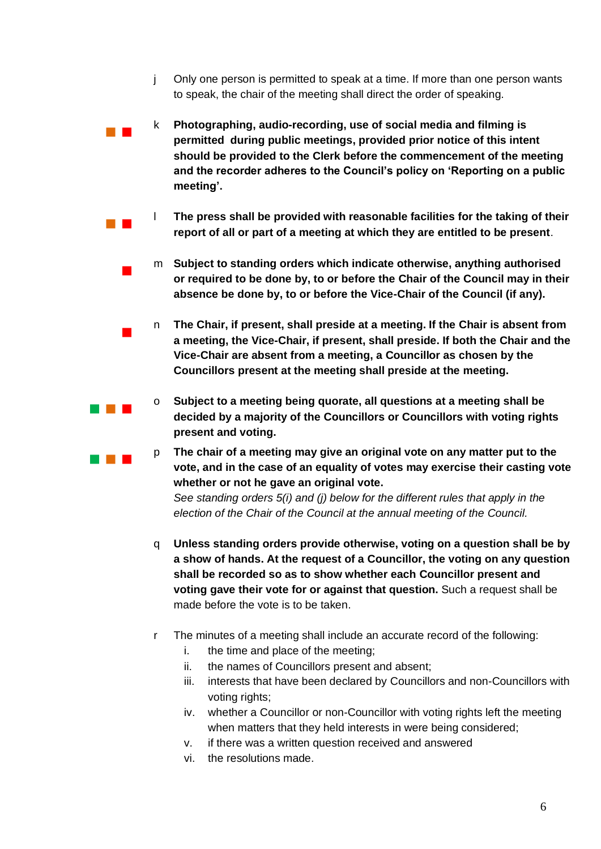- j Only one person is permitted to speak at a time. If more than one person wants to speak, the chair of the meeting shall direct the order of speaking.
- $\mathbb{R}^n$  . k **Photographing, audio-recording, use of social media and filming is permitted during public meetings, provided prior notice of this intent should be provided to the Clerk before the commencement of the meeting and the recorder adheres to the Council's policy on 'Reporting on a public meeting'.**
- $\mathcal{L}^{\text{max}}$ l **The press shall be provided with reasonable facilities for the taking of their report of all or part of a meeting at which they are entitled to be present**.
	- m **Subject to standing orders which indicate otherwise, anything authorised or required to be done by, to or before the Chair of the Council may in their absence be done by, to or before the Vice-Chair of the Council (if any).**
	- n **The Chair, if present, shall preside at a meeting. If the Chair is absent from a meeting, the Vice-Chair, if present, shall preside. If both the Chair and the Vice-Chair are absent from a meeting, a Councillor as chosen by the Councillors present at the meeting shall preside at the meeting.**
		- o **Subject to a meeting being quorate, all questions at a meeting shall be decided by a majority of the Councillors or Councillors with voting rights present and voting.**
	- p **The chair of a meeting may give an original vote on any matter put to the vote, and in the case of an equality of votes may exercise their casting vote whether or not he gave an original vote.**

*See standing orders 5(i) and (j) below for the different rules that apply in the election of the Chair of the Council at the annual meeting of the Council.*

- q **Unless standing orders provide otherwise, voting on a question shall be by a show of hands. At the request of a Councillor, the voting on any question shall be recorded so as to show whether each Councillor present and voting gave their vote for or against that question.** Such a request shall be made before the vote is to be taken.
- r The minutes of a meeting shall include an accurate record of the following:
	- i. the time and place of the meeting;
	- ii. the names of Councillors present and absent;
	- iii. interests that have been declared by Councillors and non-Councillors with voting rights;
	- iv. whether a Councillor or non-Councillor with voting rights left the meeting when matters that they held interests in were being considered;
	- v. if there was a written question received and answered
	- vi. the resolutions made.

 $\mathcal{L}_{\mathcal{A}}$ 

 $\blacksquare$ 

an an T

. . . .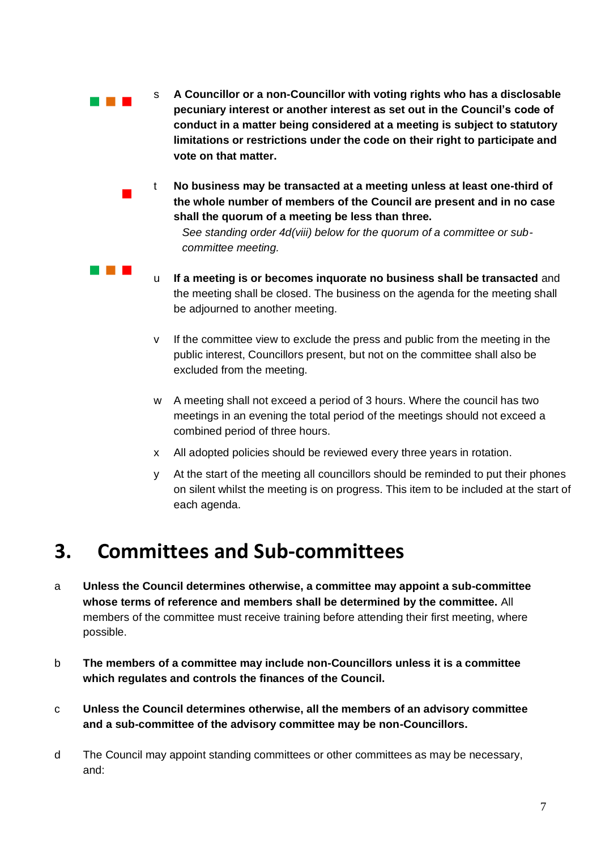- a na m s **A Councillor or a non-Councillor with voting rights who has a disclosable pecuniary interest or another interest as set out in the Council's code of conduct in a matter being considered at a meeting is subject to statutory limitations or restrictions under the code on their right to participate and vote on that matter.**
	- t **No business may be transacted at a meeting unless at least one-third of the whole number of members of the Council are present and in no case shall the quorum of a meeting be less than three.**

*See standing order 4d(viii) below for the quorum of a committee or subcommittee meeting.* 

- u **If a meeting is or becomes inquorate no business shall be transacted** and the meeting shall be closed. The business on the agenda for the meeting shall be adjourned to another meeting.
- v If the committee view to exclude the press and public from the meeting in the public interest, Councillors present, but not on the committee shall also be excluded from the meeting.
- w A meeting shall not exceed a period of 3 hours. Where the council has two meetings in an evening the total period of the meetings should not exceed a combined period of three hours.
- x All adopted policies should be reviewed every three years in rotation.
- y At the start of the meeting all councillors should be reminded to put their phones on silent whilst the meeting is on progress. This item to be included at the start of each agenda.

#### <span id="page-6-0"></span>**3. Committees and Sub-committees**

 $\mathcal{L}_{\mathcal{A}}$ 

and the control

- a **Unless the Council determines otherwise, a committee may appoint a sub-committee whose terms of reference and members shall be determined by the committee.** All members of the committee must receive training before attending their first meeting, where possible.
- b **The members of a committee may include non-Councillors unless it is a committee which regulates and controls the finances of the Council.**
- c **Unless the Council determines otherwise, all the members of an advisory committee and a sub-committee of the advisory committee may be non-Councillors.**
- d The Council may appoint standing committees or other committees as may be necessary, and: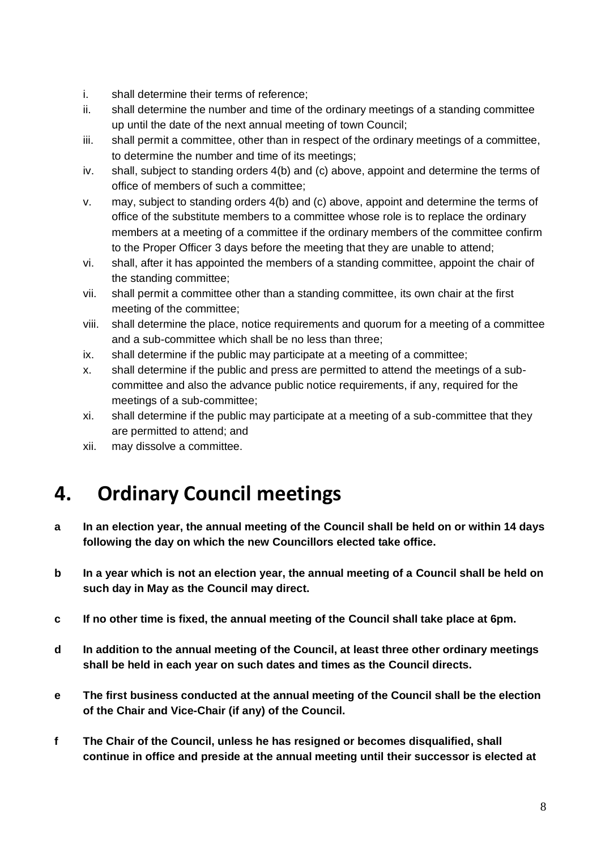- i. shall determine their terms of reference;
- ii. shall determine the number and time of the ordinary meetings of a standing committee up until the date of the next annual meeting of town Council;
- iii. shall permit a committee, other than in respect of the ordinary meetings of a committee, to determine the number and time of its meetings;
- iv. shall, subject to standing orders 4(b) and (c) above, appoint and determine the terms of office of members of such a committee;
- v. may, subject to standing orders 4(b) and (c) above, appoint and determine the terms of office of the substitute members to a committee whose role is to replace the ordinary members at a meeting of a committee if the ordinary members of the committee confirm to the Proper Officer 3 days before the meeting that they are unable to attend;
- vi. shall, after it has appointed the members of a standing committee, appoint the chair of the standing committee;
- vii. shall permit a committee other than a standing committee, its own chair at the first meeting of the committee;
- viii. shall determine the place, notice requirements and quorum for a meeting of a committee and a sub-committee which shall be no less than three;
- ix. shall determine if the public may participate at a meeting of a committee;
- x. shall determine if the public and press are permitted to attend the meetings of a subcommittee and also the advance public notice requirements, if any, required for the meetings of a sub-committee;
- xi. shall determine if the public may participate at a meeting of a sub-committee that they are permitted to attend; and
- xii. may dissolve a committee.

### <span id="page-7-0"></span>**4. Ordinary Council meetings**

- **a In an election year, the annual meeting of the Council shall be held on or within 14 days following the day on which the new Councillors elected take office.**
- **b In a year which is not an election year, the annual meeting of a Council shall be held on such day in May as the Council may direct.**
- **c If no other time is fixed, the annual meeting of the Council shall take place at 6pm.**
- **d In addition to the annual meeting of the Council, at least three other ordinary meetings shall be held in each year on such dates and times as the Council directs.**
- **e The first business conducted at the annual meeting of the Council shall be the election of the Chair and Vice-Chair (if any) of the Council.**
- **f The Chair of the Council, unless he has resigned or becomes disqualified, shall continue in office and preside at the annual meeting until their successor is elected at**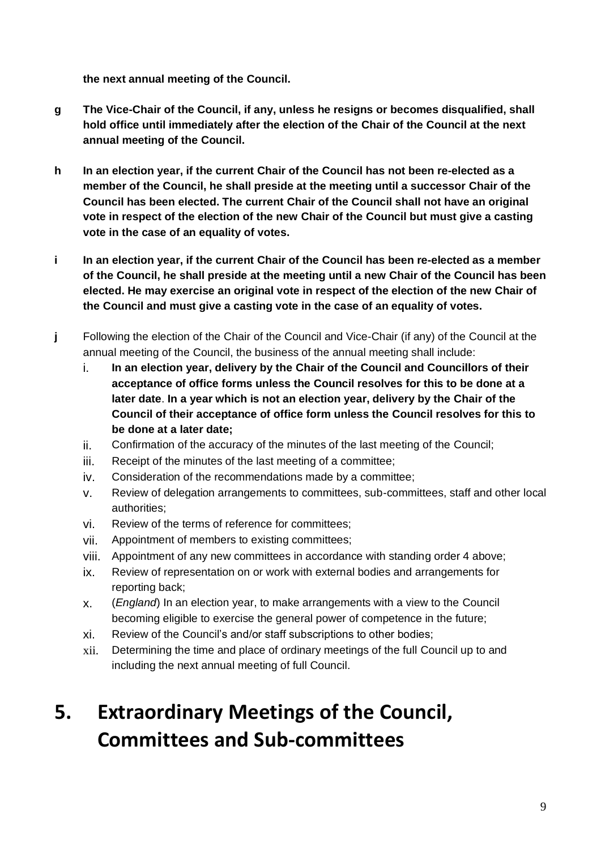**the next annual meeting of the Council.** 

- **g The Vice-Chair of the Council, if any, unless he resigns or becomes disqualified, shall hold office until immediately after the election of the Chair of the Council at the next annual meeting of the Council.**
- **h In an election year, if the current Chair of the Council has not been re-elected as a member of the Council, he shall preside at the meeting until a successor Chair of the Council has been elected. The current Chair of the Council shall not have an original vote in respect of the election of the new Chair of the Council but must give a casting vote in the case of an equality of votes.**
- **i In an election year, if the current Chair of the Council has been re-elected as a member of the Council, he shall preside at the meeting until a new Chair of the Council has been elected. He may exercise an original vote in respect of the election of the new Chair of the Council and must give a casting vote in the case of an equality of votes.**
- **j** Following the election of the Chair of the Council and Vice-Chair (if any) of the Council at the annual meeting of the Council, the business of the annual meeting shall include:
	- i. **In an election year, delivery by the Chair of the Council and Councillors of their acceptance of office forms unless the Council resolves for this to be done at a later date**. **In a year which is not an election year, delivery by the Chair of the Council of their acceptance of office form unless the Council resolves for this to be done at a later date;**
	- ii. Confirmation of the accuracy of the minutes of the last meeting of the Council;
	- iii. Receipt of the minutes of the last meeting of a committee;
	- iv. Consideration of the recommendations made by a committee;
	- v. Review of delegation arrangements to committees, sub-committees, staff and other local authorities;
	- vi. Review of the terms of reference for committees;
	- vii. Appointment of members to existing committees;
	- viii. Appointment of any new committees in accordance with standing order 4 above;
	- ix. Review of representation on or work with external bodies and arrangements for reporting back;
	- x. (*England*) In an election year, to make arrangements with a view to the Council becoming eligible to exercise the general power of competence in the future;
	- xi. Review of the Council's and/or staff subscriptions to other bodies;
	- xii. Determining the time and place of ordinary meetings of the full Council up to and including the next annual meeting of full Council.

## <span id="page-8-0"></span>**5. Extraordinary Meetings of the Council, Committees and Sub-committees**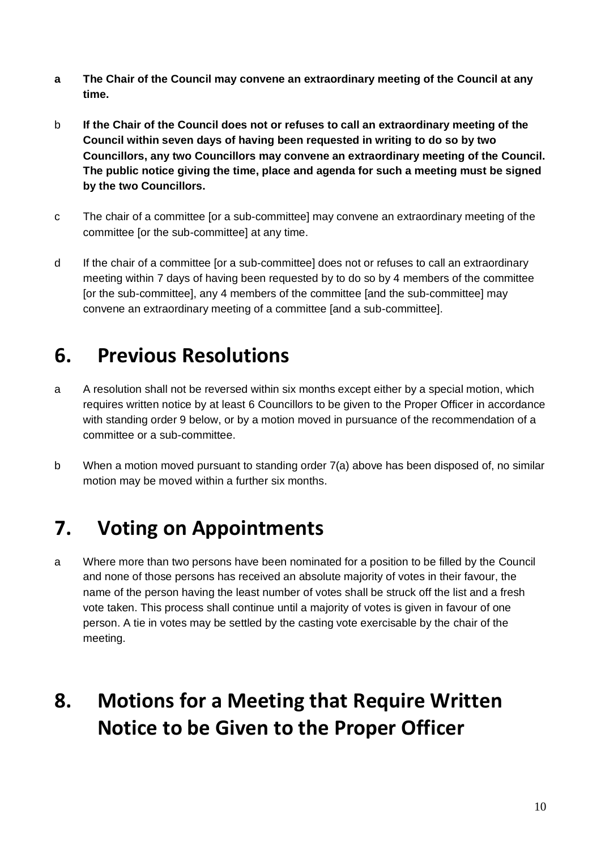- **a The Chair of the Council may convene an extraordinary meeting of the Council at any time.**
- b **If the Chair of the Council does not or refuses to call an extraordinary meeting of the Council within seven days of having been requested in writing to do so by two Councillors, any two Councillors may convene an extraordinary meeting of the Council. The public notice giving the time, place and agenda for such a meeting must be signed by the two Councillors.**
- c The chair of a committee [or a sub-committee] may convene an extraordinary meeting of the committee [or the sub-committee] at any time.
- d If the chair of a committee [or a sub-committee] does not or refuses to call an extraordinary meeting within 7 days of having been requested by to do so by 4 members of the committee [or the sub-committee], any 4 members of the committee [and the sub-committee] may convene an extraordinary meeting of a committee [and a sub-committee].

### <span id="page-9-0"></span>**6. Previous Resolutions**

- a A resolution shall not be reversed within six months except either by a special motion, which requires written notice by at least 6 Councillors to be given to the Proper Officer in accordance with standing order 9 below, or by a motion moved in pursuance of the recommendation of a committee or a sub-committee.
- b When a motion moved pursuant to standing order 7(a) above has been disposed of, no similar motion may be moved within a further six months.

### <span id="page-9-1"></span>**7. Voting on Appointments**

a Where more than two persons have been nominated for a position to be filled by the Council and none of those persons has received an absolute majority of votes in their favour, the name of the person having the least number of votes shall be struck off the list and a fresh vote taken. This process shall continue until a majority of votes is given in favour of one person. A tie in votes may be settled by the casting vote exercisable by the chair of the meeting.

### <span id="page-9-2"></span>**8. Motions for a Meeting that Require Written Notice to be Given to the Proper Officer**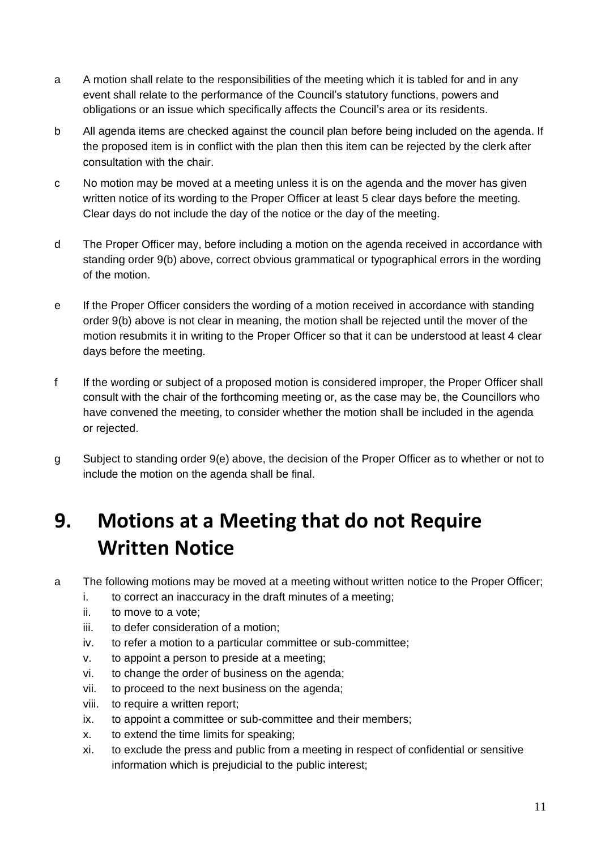- a A motion shall relate to the responsibilities of the meeting which it is tabled for and in any event shall relate to the performance of the Council's statutory functions, powers and obligations or an issue which specifically affects the Council's area or its residents.
- b All agenda items are checked against the council plan before being included on the agenda. If the proposed item is in conflict with the plan then this item can be rejected by the clerk after consultation with the chair.
- c No motion may be moved at a meeting unless it is on the agenda and the mover has given written notice of its wording to the Proper Officer at least 5 clear days before the meeting. Clear days do not include the day of the notice or the day of the meeting.
- d The Proper Officer may, before including a motion on the agenda received in accordance with standing order 9(b) above, correct obvious grammatical or typographical errors in the wording of the motion.
- e If the Proper Officer considers the wording of a motion received in accordance with standing order 9(b) above is not clear in meaning, the motion shall be rejected until the mover of the motion resubmits it in writing to the Proper Officer so that it can be understood at least 4 clear days before the meeting.
- f If the wording or subject of a proposed motion is considered improper, the Proper Officer shall consult with the chair of the forthcoming meeting or, as the case may be, the Councillors who have convened the meeting, to consider whether the motion shall be included in the agenda or rejected.
- g Subject to standing order 9(e) above, the decision of the Proper Officer as to whether or not to include the motion on the agenda shall be final.

### <span id="page-10-0"></span>**9. Motions at a Meeting that do not Require Written Notice**

- a The following motions may be moved at a meeting without written notice to the Proper Officer;
	- i. to correct an inaccuracy in the draft minutes of a meeting;
	- ii. to move to a vote;
	- iii. to defer consideration of a motion;
	- iv. to refer a motion to a particular committee or sub-committee;
	- v. to appoint a person to preside at a meeting;
	- vi. to change the order of business on the agenda;
	- vii. to proceed to the next business on the agenda;
	- viii. to require a written report;
	- ix. to appoint a committee or sub-committee and their members;
	- x. to extend the time limits for speaking;
	- xi. to exclude the press and public from a meeting in respect of confidential or sensitive information which is prejudicial to the public interest;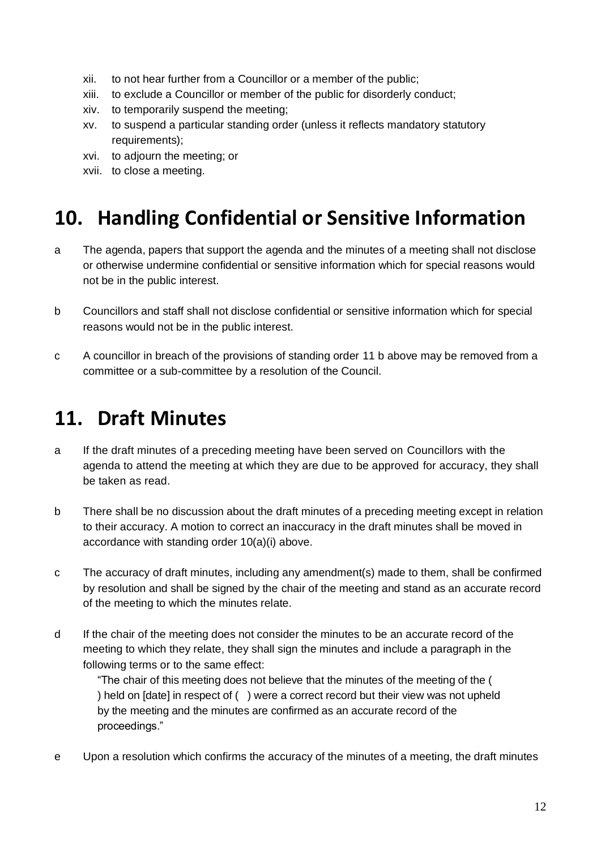- xii. to not hear further from a Councillor or a member of the public;
- xiii. to exclude a Councillor or member of the public for disorderly conduct;
- xiv. to temporarily suspend the meeting;
- xv. to suspend a particular standing order (unless it reflects mandatory statutory requirements);
- xvi. to adjourn the meeting; or
- xvii. to close a meeting.

#### <span id="page-11-0"></span>**10. Handling Confidential or Sensitive Information**

- a The agenda, papers that support the agenda and the minutes of a meeting shall not disclose or otherwise undermine confidential or sensitive information which for special reasons would not be in the public interest.
- b Councillors and staff shall not disclose confidential or sensitive information which for special reasons would not be in the public interest.
- c A councillor in breach of the provisions of standing order 11 b above may be removed from a committee or a sub-committee by a resolution of the Council.

#### <span id="page-11-1"></span>**11. Draft Minutes**

- a If the draft minutes of a preceding meeting have been served on Councillors with the agenda to attend the meeting at which they are due to be approved for accuracy, they shall be taken as read.
- b There shall be no discussion about the draft minutes of a preceding meeting except in relation to their accuracy. A motion to correct an inaccuracy in the draft minutes shall be moved in accordance with standing order 10(a)(i) above.
- c The accuracy of draft minutes, including any amendment(s) made to them, shall be confirmed by resolution and shall be signed by the chair of the meeting and stand as an accurate record of the meeting to which the minutes relate.
- d If the chair of the meeting does not consider the minutes to be an accurate record of the meeting to which they relate, they shall sign the minutes and include a paragraph in the following terms or to the same effect:

"The chair of this meeting does not believe that the minutes of the meeting of the ( ) held on [date] in respect of ( ) were a correct record but their view was not upheld by the meeting and the minutes are confirmed as an accurate record of the proceedings."

e Upon a resolution which confirms the accuracy of the minutes of a meeting, the draft minutes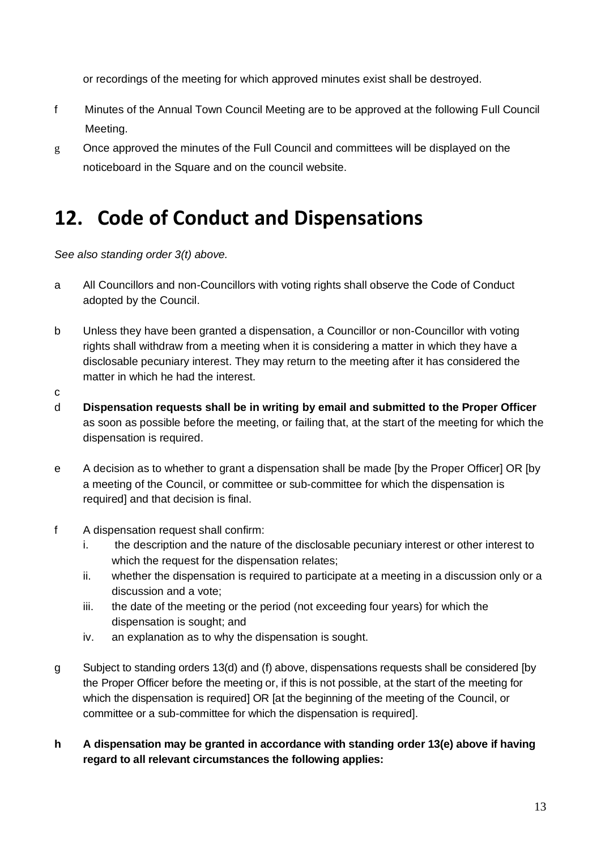or recordings of the meeting for which approved minutes exist shall be destroyed.

- f Minutes of the Annual Town Council Meeting are to be approved at the following Full Council Meeting.
- g Once approved the minutes of the Full Council and committees will be displayed on the noticeboard in the Square and on the council website.

#### <span id="page-12-0"></span>**12. Code of Conduct and Dispensations**

*See also standing order 3(t) above.* 

- a All Councillors and non-Councillors with voting rights shall observe the Code of Conduct adopted by the Council.
- b Unless they have been granted a dispensation, a Councillor or non-Councillor with voting rights shall withdraw from a meeting when it is considering a matter in which they have a disclosable pecuniary interest. They may return to the meeting after it has considered the matter in which he had the interest.
- c
- d **Dispensation requests shall be in writing by email and submitted to the Proper Officer** as soon as possible before the meeting, or failing that, at the start of the meeting for which the dispensation is required.
- e A decision as to whether to grant a dispensation shall be made [by the Proper Officer] OR [by a meeting of the Council, or committee or sub-committee for which the dispensation is required] and that decision is final.
- f A dispensation request shall confirm:
	- i. the description and the nature of the disclosable pecuniary interest or other interest to which the request for the dispensation relates;
	- ii. whether the dispensation is required to participate at a meeting in a discussion only or a discussion and a vote;
	- iii. the date of the meeting or the period (not exceeding four years) for which the dispensation is sought; and
	- iv. an explanation as to why the dispensation is sought.
- g Subject to standing orders 13(d) and (f) above, dispensations requests shall be considered [by the Proper Officer before the meeting or, if this is not possible, at the start of the meeting for which the dispensation is required] OR [at the beginning of the meeting of the Council, or committee or a sub-committee for which the dispensation is required].

#### **h A dispensation may be granted in accordance with standing order 13(e) above if having regard to all relevant circumstances the following applies:**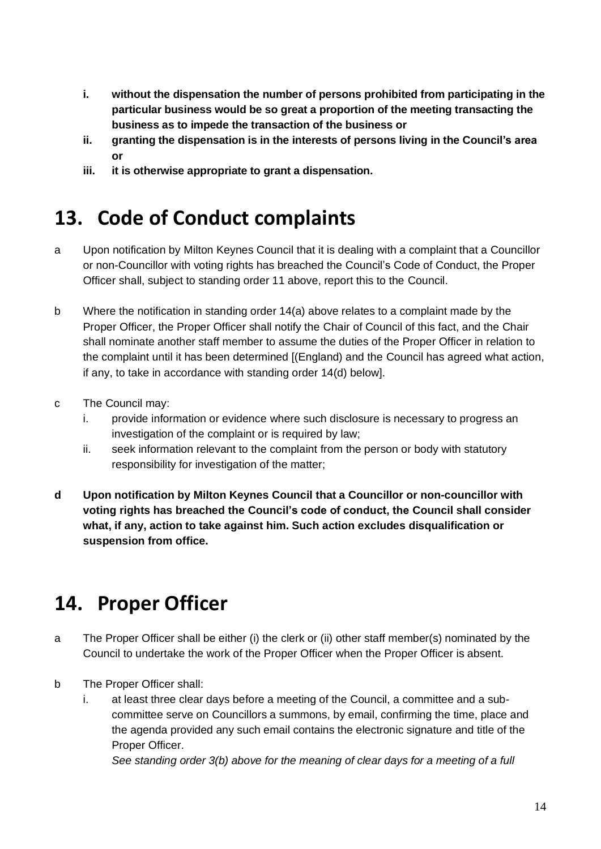- **i. without the dispensation the number of persons prohibited from participating in the particular business would be so great a proportion of the meeting transacting the business as to impede the transaction of the business or**
- **ii. granting the dispensation is in the interests of persons living in the Council's area or**
- **iii. it is otherwise appropriate to grant a dispensation.**

#### <span id="page-13-0"></span>**13. Code of Conduct complaints**

- a Upon notification by Milton Keynes Council that it is dealing with a complaint that a Councillor or non-Councillor with voting rights has breached the Council's Code of Conduct, the Proper Officer shall, subject to standing order 11 above, report this to the Council.
- b Where the notification in standing order 14(a) above relates to a complaint made by the Proper Officer, the Proper Officer shall notify the Chair of Council of this fact, and the Chair shall nominate another staff member to assume the duties of the Proper Officer in relation to the complaint until it has been determined [(England) and the Council has agreed what action, if any, to take in accordance with standing order 14(d) below].
- c The Council may:
	- i. provide information or evidence where such disclosure is necessary to progress an investigation of the complaint or is required by law;
	- ii. seek information relevant to the complaint from the person or body with statutory responsibility for investigation of the matter;
- **d Upon notification by Milton Keynes Council that a Councillor or non-councillor with voting rights has breached the Council's code of conduct, the Council shall consider what, if any, action to take against him. Such action excludes disqualification or suspension from office.**

### <span id="page-13-1"></span>**14. Proper Officer**

- a The Proper Officer shall be either (i) the clerk or (ii) other staff member(s) nominated by the Council to undertake the work of the Proper Officer when the Proper Officer is absent.
- b The Proper Officer shall:
	- i. at least three clear days before a meeting of the Council, a committee and a subcommittee serve on Councillors a summons, by email, confirming the time, place and the agenda provided any such email contains the electronic signature and title of the Proper Officer.

*See standing order 3(b) above for the meaning of clear days for a meeting of a full*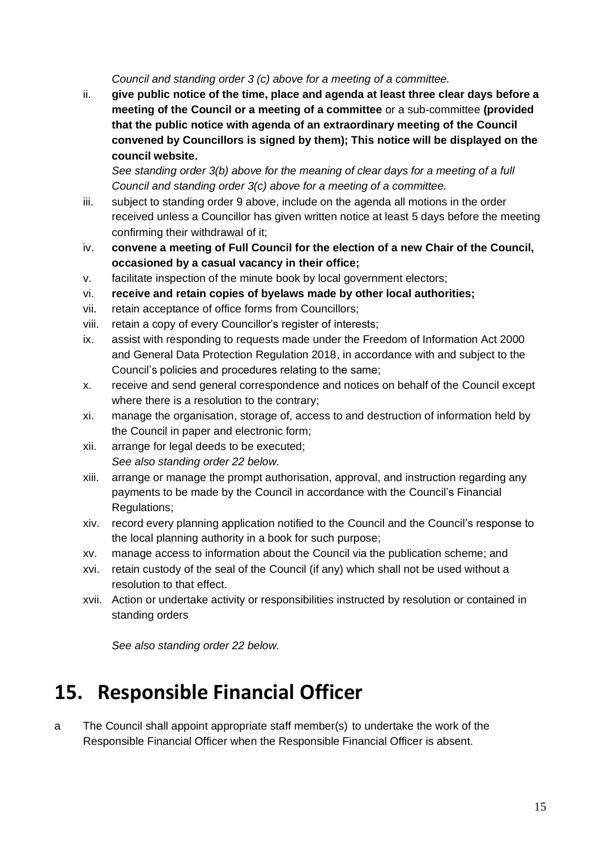*Council and standing order 3 (c) above for a meeting of a committee.*

ii. **give public notice of the time, place and agenda at least three clear days before a meeting of the Council or a meeting of a committee** or a sub-committee **(provided that the public notice with agenda of an extraordinary meeting of the Council convened by Councillors is signed by them); This notice will be displayed on the council website.**

*See standing order 3(b) above for the meaning of clear days for a meeting of a full Council and standing order 3(c) above for a meeting of a committee.*

- iii. subject to standing order 9 above, include on the agenda all motions in the order received unless a Councillor has given written notice at least 5 days before the meeting confirming their withdrawal of it;
- iv. **convene a meeting of Full Council for the election of a new Chair of the Council, occasioned by a casual vacancy in their office;**
- v. facilitate inspection of the minute book by local government electors;
- vi. **receive and retain copies of byelaws made by other local authorities;**
- vii. retain acceptance of office forms from Councillors;
- viii. retain a copy of every Councillor's register of interests;
- ix. assist with responding to requests made under the Freedom of Information Act 2000 and General Data Protection Regulation 2018, in accordance with and subject to the Council's policies and procedures relating to the same;
- x. receive and send general correspondence and notices on behalf of the Council except where there is a resolution to the contrary;
- xi. manage the organisation, storage of, access to and destruction of information held by the Council in paper and electronic form;
- xii. arrange for legal deeds to be executed; *See also standing order 22 below.*
- xiii. arrange or manage the prompt authorisation, approval, and instruction regarding any payments to be made by the Council in accordance with the Council's Financial Regulations;
- xiv. record every planning application notified to the Council and the Council's response to the local planning authority in a book for such purpose;
- xv. manage access to information about the Council via the publication scheme; and
- xvi. retain custody of the seal of the Council (if any) which shall not be used without a resolution to that effect.
- xvii. Action or undertake activity or responsibilities instructed by resolution or contained in standing orders

*See also standing order 22 below.*

#### <span id="page-14-0"></span>**15. Responsible Financial Officer**

a The Council shall appoint appropriate staff member(s) to undertake the work of the Responsible Financial Officer when the Responsible Financial Officer is absent.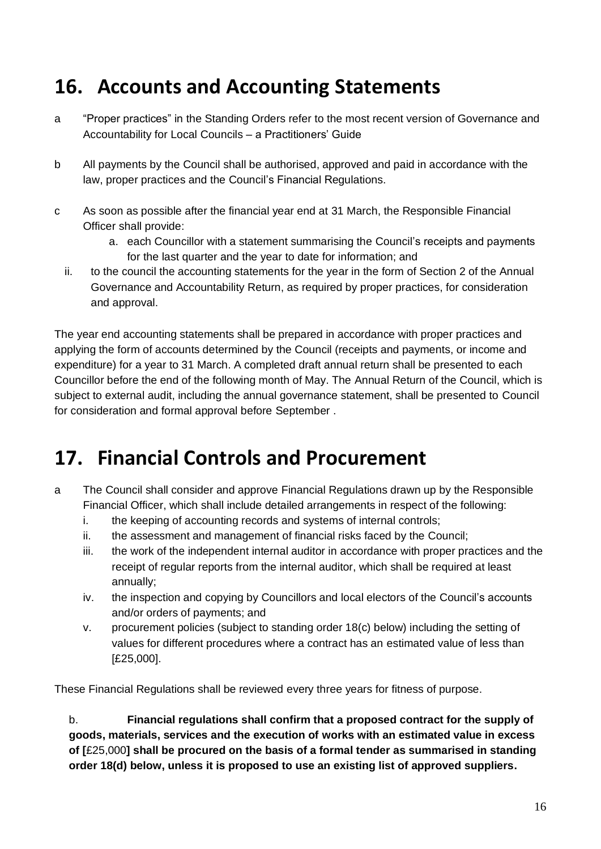#### <span id="page-15-0"></span>**16. Accounts and Accounting Statements**

- a "Proper practices" in the Standing Orders refer to the most recent version of Governance and Accountability for Local Councils – a Practitioners' Guide
- b All payments by the Council shall be authorised, approved and paid in accordance with the law, proper practices and the Council's Financial Regulations.
- c As soon as possible after the financial year end at 31 March, the Responsible Financial Officer shall provide:
	- a. each Councillor with a statement summarising the Council's receipts and payments for the last quarter and the year to date for information; and
	- ii. to the council the accounting statements for the year in the form of Section 2 of the Annual Governance and Accountability Return, as required by proper practices, for consideration and approval.

The year end accounting statements shall be prepared in accordance with proper practices and applying the form of accounts determined by the Council (receipts and payments, or income and expenditure) for a year to 31 March. A completed draft annual return shall be presented to each Councillor before the end of the following month of May. The Annual Return of the Council, which is subject to external audit, including the annual governance statement, shall be presented to Council for consideration and formal approval before September .

#### <span id="page-15-1"></span>**17. Financial Controls and Procurement**

- a The Council shall consider and approve Financial Regulations drawn up by the Responsible Financial Officer, which shall include detailed arrangements in respect of the following:
	- i. the keeping of accounting records and systems of internal controls;
	- ii. the assessment and management of financial risks faced by the Council;
	- iii. the work of the independent internal auditor in accordance with proper practices and the receipt of regular reports from the internal auditor, which shall be required at least annually;
	- iv. the inspection and copying by Councillors and local electors of the Council's accounts and/or orders of payments; and
	- v. procurement policies (subject to standing order 18(c) below) including the setting of values for different procedures where a contract has an estimated value of less than [£25,000].

These Financial Regulations shall be reviewed every three years for fitness of purpose.

b. **Financial regulations shall confirm that a proposed contract for the supply of goods, materials, services and the execution of works with an estimated value in excess of [**£25,000**] shall be procured on the basis of a formal tender as summarised in standing order 18(d) below, unless it is proposed to use an existing list of approved suppliers.**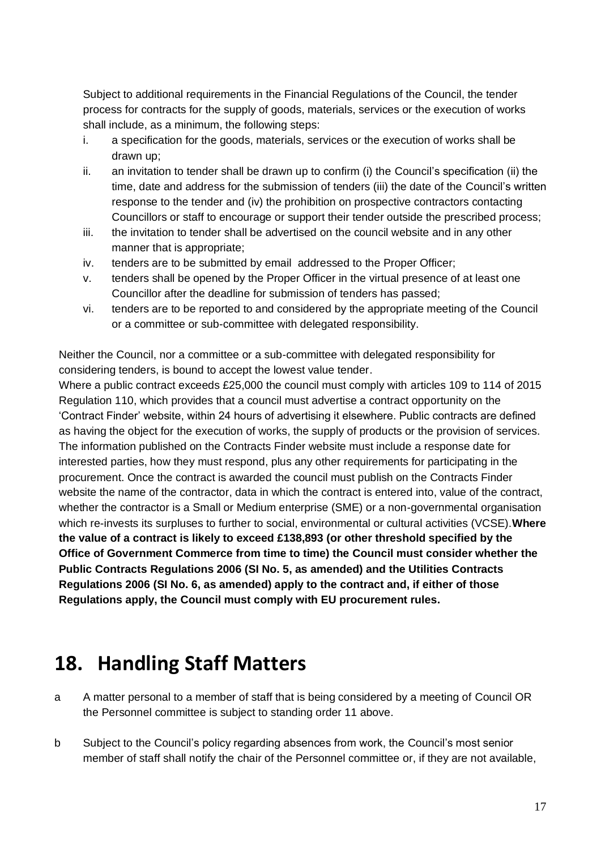Subject to additional requirements in the Financial Regulations of the Council, the tender process for contracts for the supply of goods, materials, services or the execution of works shall include, as a minimum, the following steps:

- i. a specification for the goods, materials, services or the execution of works shall be drawn up;
- ii. an invitation to tender shall be drawn up to confirm (i) the Council's specification (ii) the time, date and address for the submission of tenders (iii) the date of the Council's written response to the tender and (iv) the prohibition on prospective contractors contacting Councillors or staff to encourage or support their tender outside the prescribed process;
- iii. the invitation to tender shall be advertised on the council website and in any other manner that is appropriate;
- iv. tenders are to be submitted by email addressed to the Proper Officer;
- v. tenders shall be opened by the Proper Officer in the virtual presence of at least one Councillor after the deadline for submission of tenders has passed;
- vi. tenders are to be reported to and considered by the appropriate meeting of the Council or a committee or sub-committee with delegated responsibility.

Neither the Council, nor a committee or a sub-committee with delegated responsibility for considering tenders, is bound to accept the lowest value tender.

Where a public contract exceeds £25,000 the council must comply with articles 109 to 114 of 2015 Regulation 110, which provides that a council must advertise a contract opportunity on the 'Contract Finder' website, within 24 hours of advertising it elsewhere. Public contracts are defined as having the object for the execution of works, the supply of products or the provision of services. The information published on the Contracts Finder website must include a response date for interested parties, how they must respond, plus any other requirements for participating in the procurement. Once the contract is awarded the council must publish on the Contracts Finder website the name of the contractor, data in which the contract is entered into, value of the contract, whether the contractor is a Small or Medium enterprise (SME) or a non-governmental organisation which re-invests its surpluses to further to social, environmental or cultural activities (VCSE).**Where the value of a contract is likely to exceed £138,893 (or other threshold specified by the Office of Government Commerce from time to time) the Council must consider whether the Public Contracts Regulations 2006 (SI No. 5, as amended) and the Utilities Contracts Regulations 2006 (SI No. 6, as amended) apply to the contract and, if either of those Regulations apply, the Council must comply with EU procurement rules.**

#### <span id="page-16-0"></span>**18. Handling Staff Matters**

- a A matter personal to a member of staff that is being considered by a meeting of Council OR the Personnel committee is subject to standing order 11 above.
- b Subject to the Council's policy regarding absences from work, the Council's most senior member of staff shall notify the chair of the Personnel committee or, if they are not available,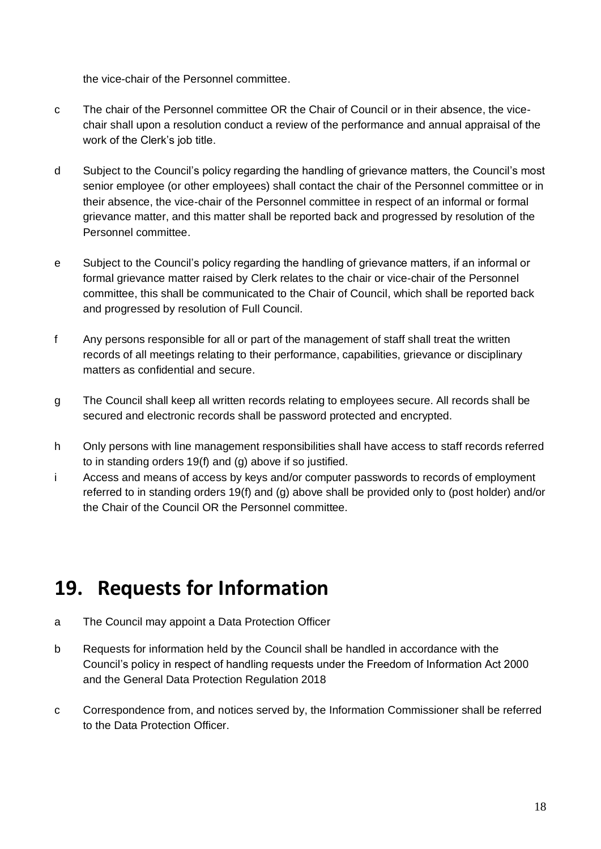the vice-chair of the Personnel committee.

- c The chair of the Personnel committee OR the Chair of Council or in their absence, the vicechair shall upon a resolution conduct a review of the performance and annual appraisal of the work of the Clerk's job title.
- d Subject to the Council's policy regarding the handling of grievance matters, the Council's most senior employee (or other employees) shall contact the chair of the Personnel committee or in their absence, the vice-chair of the Personnel committee in respect of an informal or formal grievance matter, and this matter shall be reported back and progressed by resolution of the Personnel committee.
- e Subject to the Council's policy regarding the handling of grievance matters, if an informal or formal grievance matter raised by Clerk relates to the chair or vice-chair of the Personnel committee, this shall be communicated to the Chair of Council, which shall be reported back and progressed by resolution of Full Council.
- f Any persons responsible for all or part of the management of staff shall treat the written records of all meetings relating to their performance, capabilities, grievance or disciplinary matters as confidential and secure.
- g The Council shall keep all written records relating to employees secure. All records shall be secured and electronic records shall be password protected and encrypted.
- h Only persons with line management responsibilities shall have access to staff records referred to in standing orders 19(f) and (g) above if so justified.
- i Access and means of access by keys and/or computer passwords to records of employment referred to in standing orders 19(f) and (g) above shall be provided only to (post holder) and/or the Chair of the Council OR the Personnel committee.

#### <span id="page-17-0"></span>**19. Requests for Information**

- a The Council may appoint a Data Protection Officer
- b Requests for information held by the Council shall be handled in accordance with the Council's policy in respect of handling requests under the Freedom of Information Act 2000 and the General Data Protection Regulation 2018
- c Correspondence from, and notices served by, the Information Commissioner shall be referred to the Data Protection Officer.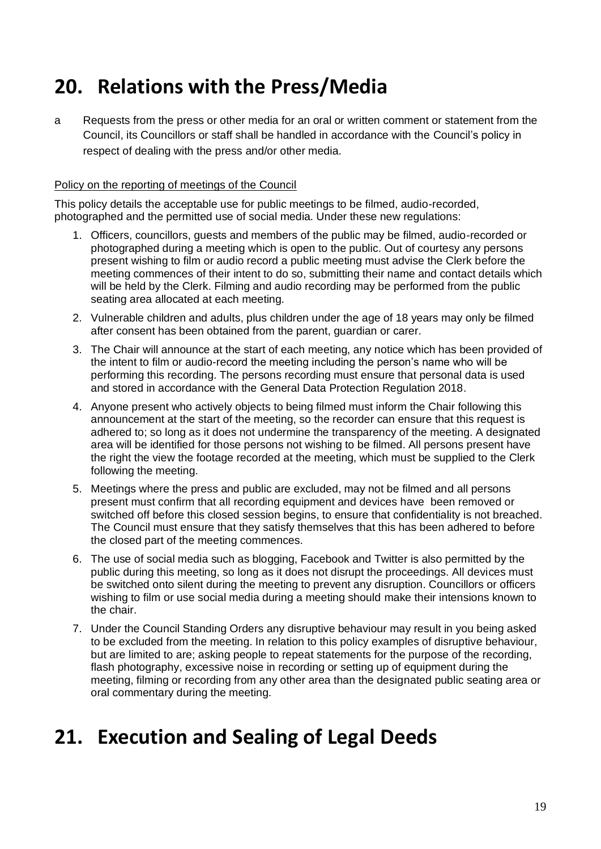#### <span id="page-18-0"></span>**20. Relations with the Press/Media**

a Requests from the press or other media for an oral or written comment or statement from the Council, its Councillors or staff shall be handled in accordance with the Council's policy in respect of dealing with the press and/or other media.

#### Policy on the reporting of meetings of the Council

This policy details the acceptable use for public meetings to be filmed, audio-recorded, photographed and the permitted use of social media. Under these new regulations:

- 1. Officers, councillors, guests and members of the public may be filmed, audio-recorded or photographed during a meeting which is open to the public. Out of courtesy any persons present wishing to film or audio record a public meeting must advise the Clerk before the meeting commences of their intent to do so, submitting their name and contact details which will be held by the Clerk. Filming and audio recording may be performed from the public seating area allocated at each meeting.
- 2. Vulnerable children and adults, plus children under the age of 18 years may only be filmed after consent has been obtained from the parent, guardian or carer.
- 3. The Chair will announce at the start of each meeting, any notice which has been provided of the intent to film or audio-record the meeting including the person's name who will be performing this recording. The persons recording must ensure that personal data is used and stored in accordance with the General Data Protection Regulation 2018.
- 4. Anyone present who actively objects to being filmed must inform the Chair following this announcement at the start of the meeting, so the recorder can ensure that this request is adhered to; so long as it does not undermine the transparency of the meeting. A designated area will be identified for those persons not wishing to be filmed. All persons present have the right the view the footage recorded at the meeting, which must be supplied to the Clerk following the meeting.
- 5. Meetings where the press and public are excluded, may not be filmed and all persons present must confirm that all recording equipment and devices have been removed or switched off before this closed session begins, to ensure that confidentiality is not breached. The Council must ensure that they satisfy themselves that this has been adhered to before the closed part of the meeting commences.
- 6. The use of social media such as blogging, Facebook and Twitter is also permitted by the public during this meeting, so long as it does not disrupt the proceedings. All devices must be switched onto silent during the meeting to prevent any disruption. Councillors or officers wishing to film or use social media during a meeting should make their intensions known to the chair.
- 7. Under the Council Standing Orders any disruptive behaviour may result in you being asked to be excluded from the meeting. In relation to this policy examples of disruptive behaviour, but are limited to are; asking people to repeat statements for the purpose of the recording, flash photography, excessive noise in recording or setting up of equipment during the meeting, filming or recording from any other area than the designated public seating area or oral commentary during the meeting.

#### <span id="page-18-1"></span>**21. Execution and Sealing of Legal Deeds**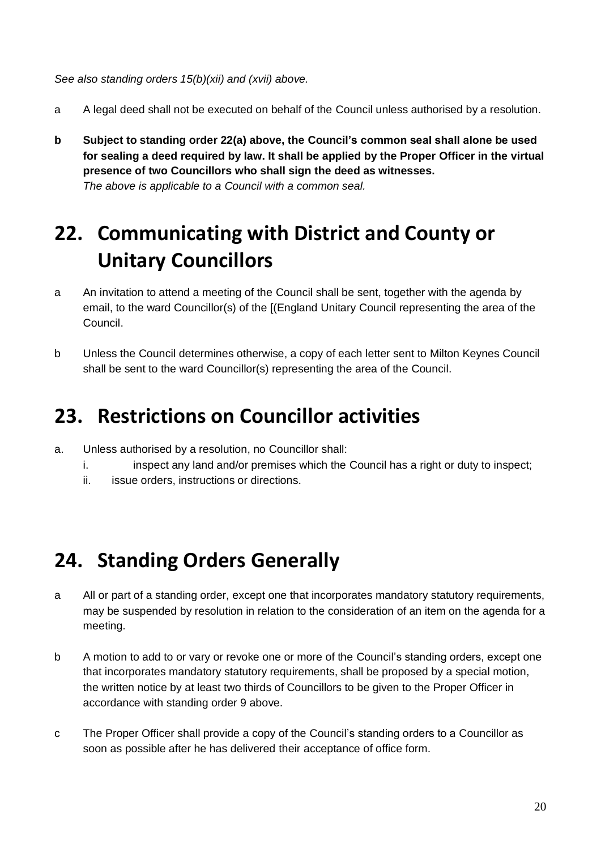*See also standing orders 15(b)(xii) and (xvii) above.*

- a A legal deed shall not be executed on behalf of the Council unless authorised by a resolution.
- **b Subject to standing order 22(a) above, the Council's common seal shall alone be used for sealing a deed required by law. It shall be applied by the Proper Officer in the virtual presence of two Councillors who shall sign the deed as witnesses.** *The above is applicable to a Council with a common seal.*

#### <span id="page-19-0"></span>**22. Communicating with District and County or Unitary Councillors**

- a An invitation to attend a meeting of the Council shall be sent, together with the agenda by email, to the ward Councillor(s) of the [(England Unitary Council representing the area of the Council.
- b Unless the Council determines otherwise, a copy of each letter sent to Milton Keynes Council shall be sent to the ward Councillor(s) representing the area of the Council.

#### <span id="page-19-1"></span>**23. Restrictions on Councillor activities**

- a. Unless authorised by a resolution, no Councillor shall:
	- i. inspect any land and/or premises which the Council has a right or duty to inspect;
	- ii. issue orders, instructions or directions.

#### <span id="page-19-2"></span>**24. Standing Orders Generally**

- a All or part of a standing order, except one that incorporates mandatory statutory requirements, may be suspended by resolution in relation to the consideration of an item on the agenda for a meeting.
- b A motion to add to or vary or revoke one or more of the Council's standing orders, except one that incorporates mandatory statutory requirements, shall be proposed by a special motion, the written notice by at least two thirds of Councillors to be given to the Proper Officer in accordance with standing order 9 above.
- c The Proper Officer shall provide a copy of the Council's standing orders to a Councillor as soon as possible after he has delivered their acceptance of office form.